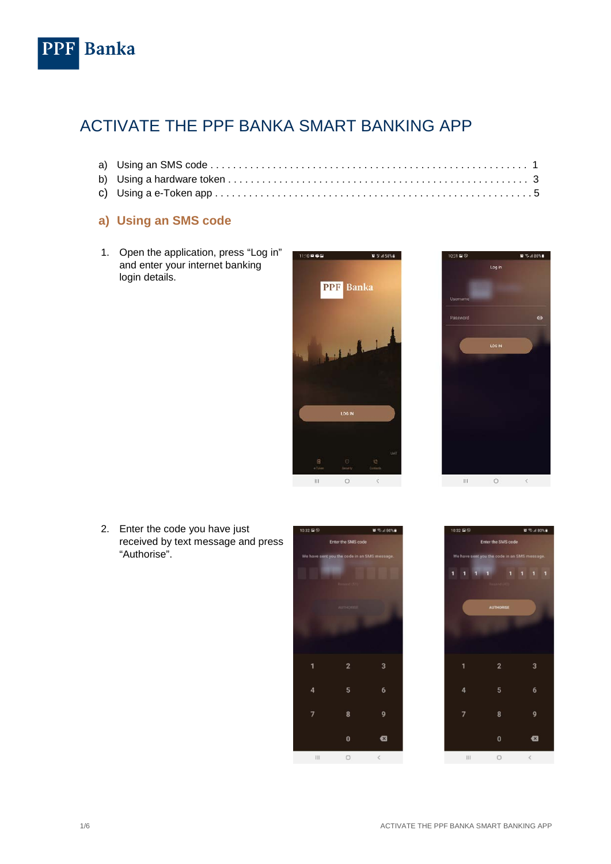

## ACTIVATE THE PPF BANKA SMART BANKING APP

## **a) Using an SMS code**

1. Open the application, press "Log in" and enter your internet banking login details.





2. Enter the code you have just received by text message and press "Authorise".



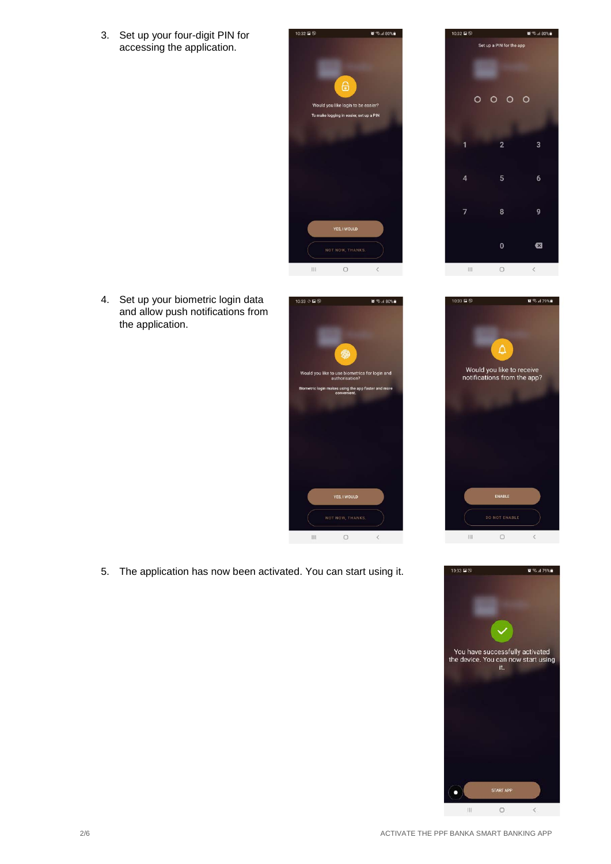3. Set up your four-digit PIN for accessing the application.



 $\mathbb{R}$  % at 80% .<br>ס⊑ 19ביו Set up a PIN for the app  $0000$  $\overline{2}$ 1  $\overline{4}$ 8  $\overline{1}$  $\mathbf{0}$  $\bullet$  $\sim$  111.  $\circ$  $\langle$ 

Λ

Would you like to receive<br>notifications from the app?

 $2.379%$ 

4. Set up your biometric login data and allow push notifications from the application.



5. The application has now been activated. You can start using it.

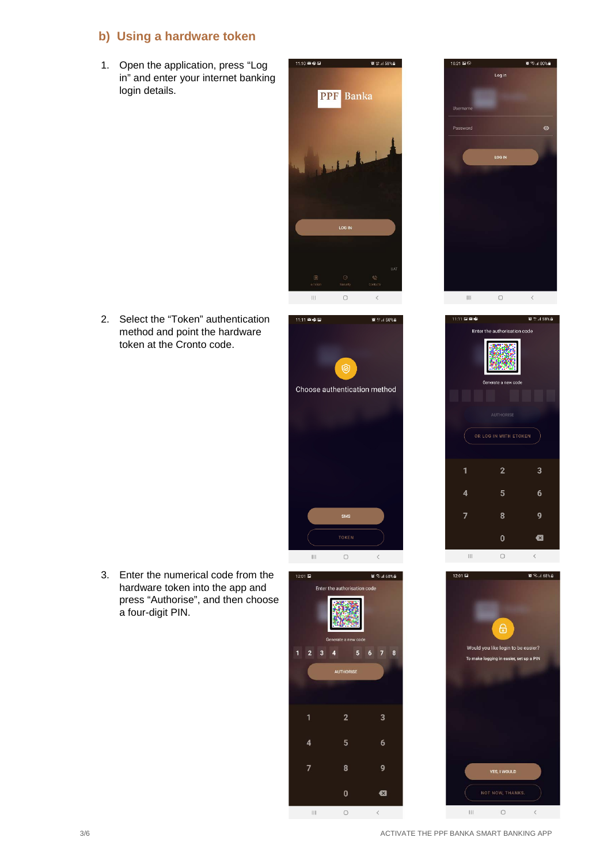## **b) Using a hardware token**

1. Open the application, press "Log in" and enter your internet banking login details.



2. Select the "Token" authentication method and point the hardware token at the Cronto code.









3. Enter the numerical code from the hardware token into the app and press "Authorise", and then choose a four-digit PIN.



 $\acute{\text{c}}$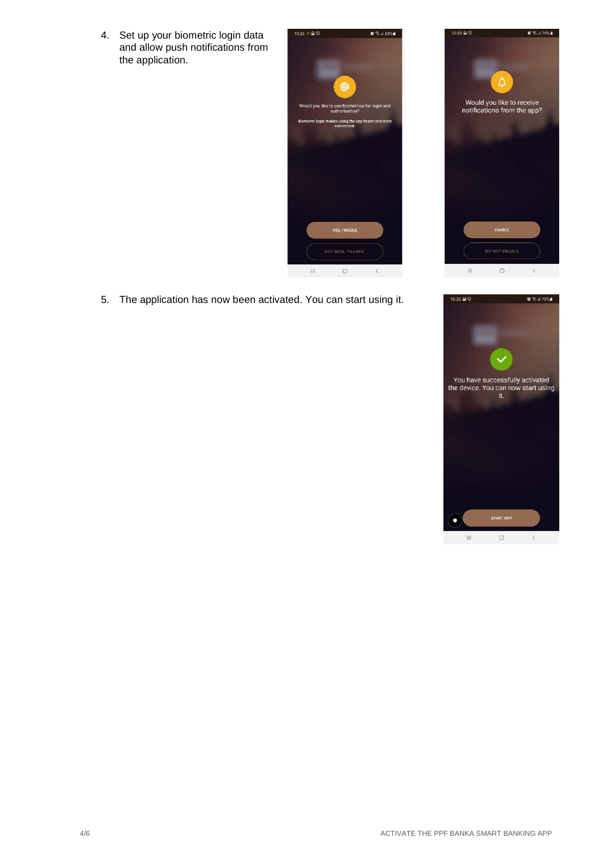4. Set up your biometric login data and allow push notifications from the application.



5. The application has now been activated. You can start using it.



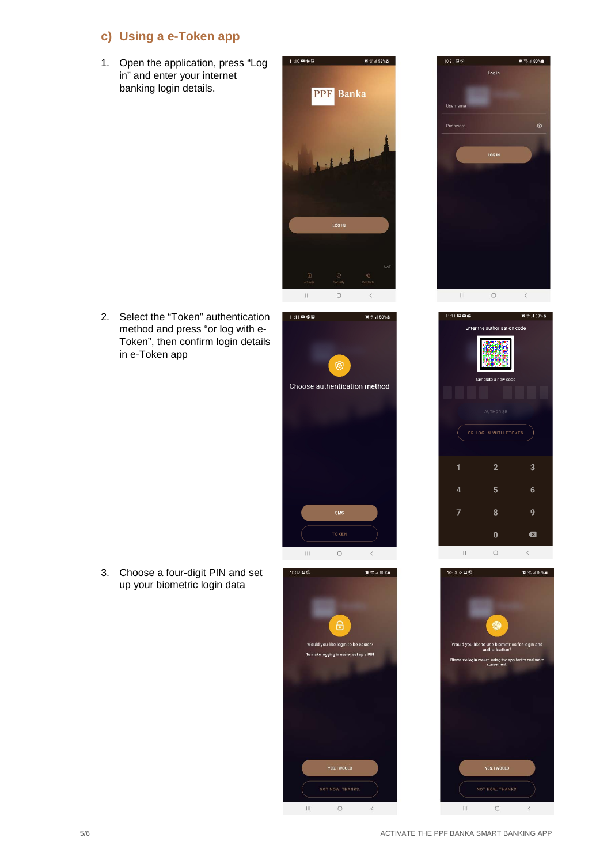## **c) Using a e-Token app**

1. Open the application, press "Log in" and enter your internet banking login details.



2. Select the "Token" authentication method and press "or log with e-Token", then confirm login details in e-Token app







3. Choose a four-digit PIN and set up your biometric login data